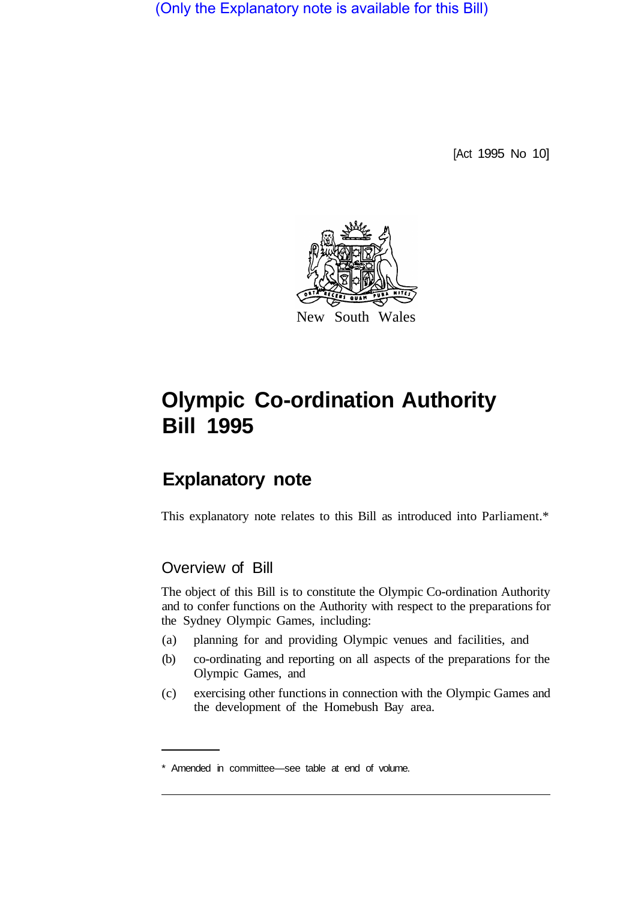(Only the Explanatory note is available for this Bill)

[Act 1995 No 10]



# **Olympic Co-ordination Authority Bill 1995**

# **Explanatory note**

This explanatory note relates to this Bill as introduced into Parliament.\*

# Overview of Bill

The object of this Bill is to constitute the Olympic Co-ordination Authority and to confer functions on the Authority with respect to the preparations for the Sydney Olympic Games, including:

- (a) planning for and providing Olympic venues and facilities, and
- (b) co-ordinating and reporting on all aspects of the preparations for the Olympic Games, and
- (c) exercising other functions in connection with the Olympic Games and the development of the Homebush Bay area.

<sup>\*</sup> Amended in committee—see table at end of volume.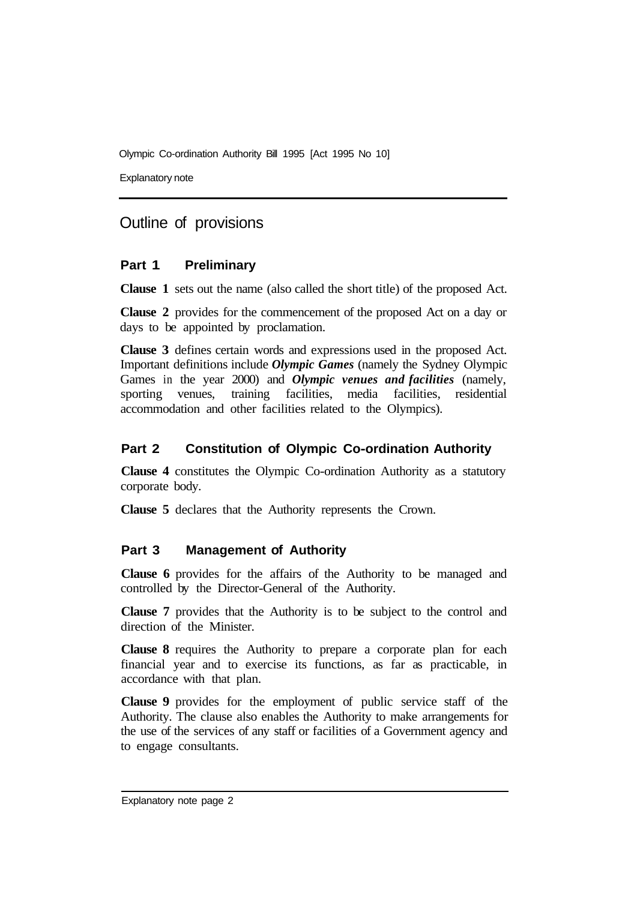Explanatory note

### Outline of provisions

#### **Part 1 Preliminary**

**Clause 1** sets out the name (also called the short title) of the proposed Act.

**Clause 2** provides for the commencement of the proposed Act on a day or days to be appointed by proclamation.

**Clause 3** defines certain words and expressions used in the proposed Act. Important definitions include *Olympic Games* (namely the Sydney Olympic Games in the year 2000) and *Olympic venues and facilities* (namely, sporting venues, training facilities, media facilities, residential accommodation and other facilities related to the Olympics).

#### **Part 2 Constitution of Olympic Co-ordination Authority**

**Clause 4** constitutes the Olympic Co-ordination Authority as a statutory corporate body.

**Clause 5** declares that the Authority represents the Crown.

#### **Part 3 Management of Authority**

**Clause 6** provides for the affairs of the Authority to be managed and controlled by the Director-General of the Authority.

**Clause 7** provides that the Authority is to be subject to the control and direction of the Minister.

**Clause 8** requires the Authority to prepare a corporate plan for each financial year and to exercise its functions, as far as practicable, in accordance with that plan.

**Clause 9** provides for the employment of public service staff of the Authority. The clause also enables the Authority to make arrangements for the use of the services of any staff or facilities of a Government agency and to engage consultants.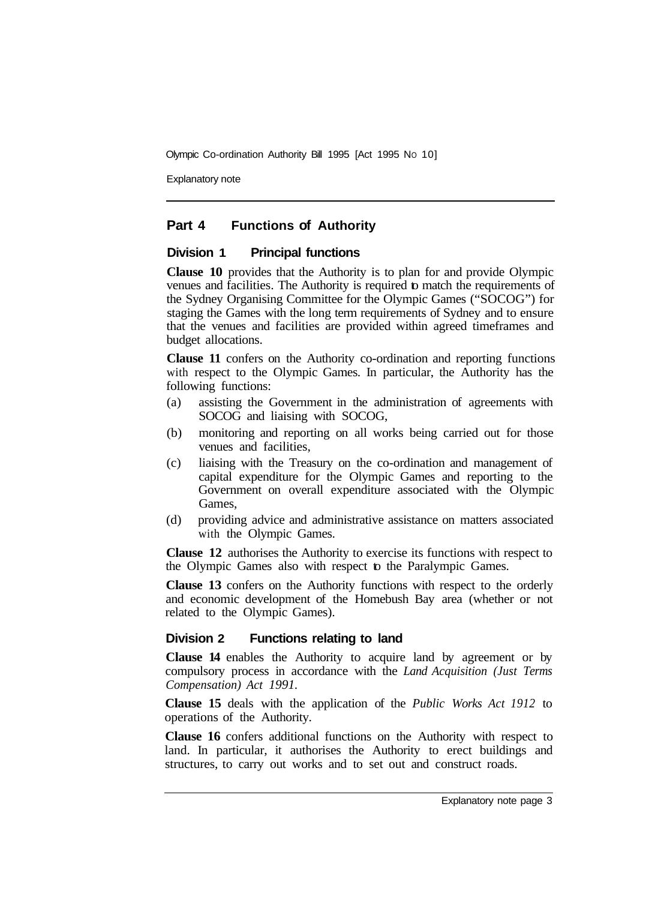Explanatory note

#### **Part 4 Functions of Authority**

#### **Division 1 Principal functions**

**Clause 10** provides that the Authority is to plan for and provide Olympic venues and facilities. The Authority is required to match the requirements of the Sydney Organising Committee for the Olympic Games ("SOCOG") for staging the Games with the long term requirements of Sydney and to ensure that the venues and facilities are provided within agreed timeframes and budget allocations.

**Clause 11** confers on the Authority co-ordination and reporting functions with respect to the Olympic Games. In particular, the Authority has the following functions:

- (a) assisting the Government in the administration of agreements with SOCOG and liaising with SOCOG,
- (b) monitoring and reporting on all works being carried out for those venues and facilities,
- (c) liaising with the Treasury on the co-ordination and management of capital expenditure for the Olympic Games and reporting to the Government on overall expenditure associated with the Olympic Games,
- (d) providing advice and administrative assistance on matters associated with the Olympic Games.

**Clause 12** authorises the Authority to exercise its functions with respect to the Olympic Games also with respect to the Paralympic Games.

**Clause 13** confers on the Authority functions with respect to the orderly and economic development of the Homebush Bay area (whether or not related to the Olympic Games).

#### **Division 2 Functions relating to land**

**Clause 14** enables the Authority to acquire land by agreement or by compulsory process in accordance with the *Land Acquisition (Just Terms Compensation) Act 1991.* 

**Clause 15** deals with the application of the *Public Works Act 1912* to operations of the Authority.

**Clause 16** confers additional functions on the Authority with respect to land. In particular, it authorises the Authority to erect buildings and structures, to carry out works and to set out and construct roads.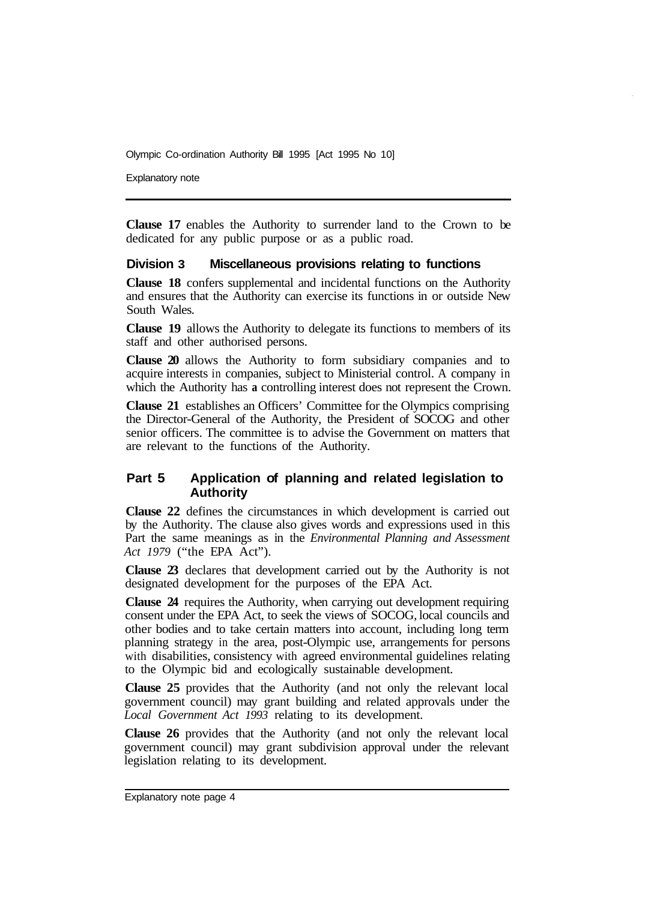Explanatory note

**Clause 17** enables the Authority to surrender land to the Crown to be dedicated for any public purpose or as a public road.

#### **Division 3 Miscellaneous provisions relating to functions**

**Clause 18** confers supplemental and incidental functions on the Authority and ensures that the Authority can exercise its functions in or outside New South Wales.

**Clause 19** allows the Authority to delegate its functions to members of its staff and other authorised persons.

**Clause 20** allows the Authority to form subsidiary companies and to acquire interests in companies, subject to Ministerial control. A company in which the Authority has **a** controlling interest does not represent the Crown.

**Clause 21** establishes an Officers' Committee for the Olympics comprising the Director-General of the Authority, the President of SOCOG and other senior officers. The committee is to advise the Government on matters that are relevant to the functions of the Authority.

#### **Part 5 Application of planning and related legislation to Authority**

**Clause 22** defines the circumstances in which development is carried out by the Authority. The clause also gives words and expressions used in this Part the same meanings as in the *Environmental Planning and Assessment Act 1979* ("the EPA Act").

**Clause 23** declares that development carried out by the Authority is not designated development for the purposes of the EPA Act.

**Clause 24** requires the Authority, when carrying out development requiring consent under the EPA Act, to seek the views of SOCOG, local councils and other bodies and to take certain matters into account, including long term planning strategy in the area, post-Olympic use, arrangements for persons with disabilities, consistency with agreed environmental guidelines relating to the Olympic bid and ecologically sustainable development.

**Clause 25** provides that the Authority (and not only the relevant local government council) may grant building and related approvals under the *Local Government Act 1993* relating to its development.

**Clause 26** provides that the Authority (and not only the relevant local government council) may grant subdivision approval under the relevant legislation relating to its development.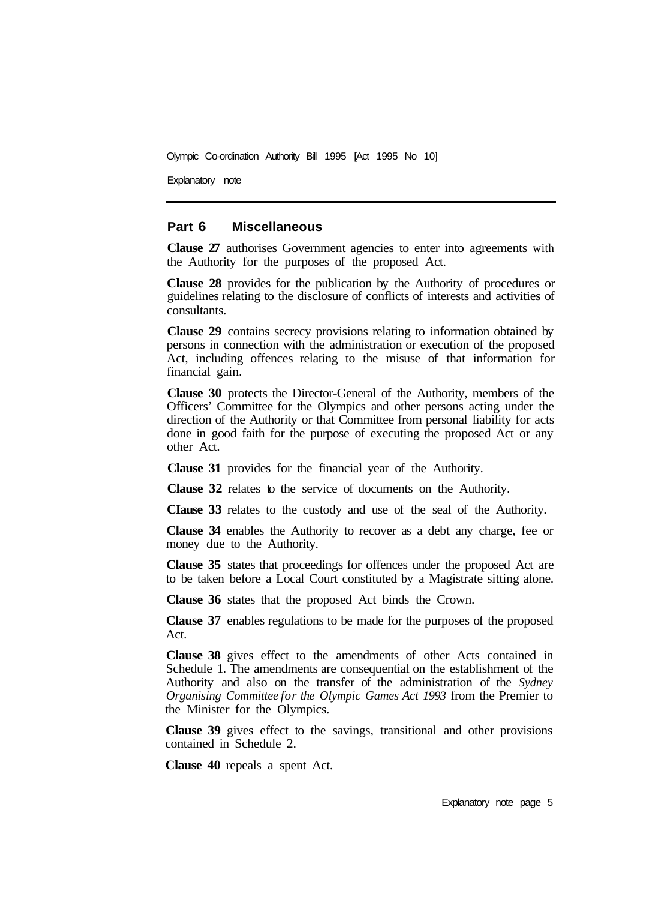Explanatory note

#### **Part 6 Miscellaneous**

**Clause 27** authorises Government agencies to enter into agreements with the Authority for the purposes of the proposed Act.

**Clause 28** provides for the publication by the Authority of procedures or guidelines relating to the disclosure of conflicts of interests and activities of consultants.

**Clause 29** contains secrecy provisions relating to information obtained by persons in connection with the administration or execution of the proposed Act, including offences relating to the misuse of that information for financial gain.

**Clause 30** protects the Director-General of the Authority, members of the Officers' Committee for the Olympics and other persons acting under the direction of the Authority or that Committee from personal liability for acts done in good faith for the purpose of executing the proposed Act or any other Act.

**Clause 31** provides for the financial year of the Authority.

**Clause 32** relates to the service of documents on the Authority.

**CIause 33** relates to the custody and use of the seal of the Authority.

**Clause 34** enables the Authority to recover as a debt any charge, fee or money due to the Authority.

**Clause 35** states that proceedings for offences under the proposed Act are to be taken before a Local Court constituted by a Magistrate sitting alone.

**Clause 36** states that the proposed Act binds the Crown.

**Clause 37** enables regulations to be made for the purposes of the proposed Act.

**Clause 38** gives effect to the amendments of other Acts contained in Schedule 1. The amendments are consequential on the establishment of the Authority and also on the transfer of the administration of the *Sydney Organising Committee for the Olympic Games Act 1993* from the Premier to the Minister for the Olympics.

**Clause 39** gives effect to the savings, transitional and other provisions contained in Schedule 2.

**Clause 40** repeals a spent Act.